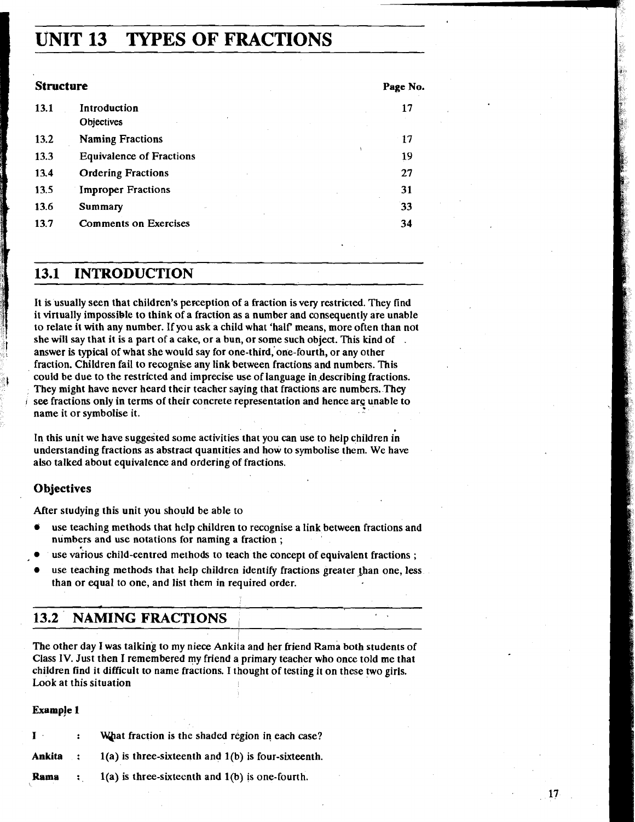# **UNIT 13 TYPES OF FRACTIONS**

| <b>Structure</b> |                                 | Page No. |
|------------------|---------------------------------|----------|
| 13.1             | Introduction<br>Objectives      | 17       |
| 13.2             | <b>Naming Fractions</b>         | 17       |
| 13.3             | <b>Equivalence of Fractions</b> | 19       |
| 13.4             | <b>Ordering Fractions</b>       | 27       |
| 13.5             | <b>Improper Fractions</b>       | 31       |
| 13.6             | Summary                         | 33       |
| 13.7             | <b>Comments on Exercises</b>    | 34       |

## **13.1 INTRODUCTION**

It is usually seen that children's perception of a fraction is very restricted. They find it virtually impossible to think of a fraction as a number and consequently are unable to relate it with any number. If you ask a child what 'half means, more often than not she will say that it is a part of a cake, or a bun, or some such object. This kind of .<br>answer is typical of what she would say for one-third, one-fourth, or any other fraction. Children fail to recognise any link between fractions and numbers. This could be due to the restricted and imprecise use of language in.describing fractions. They might have never heard their teacher saying that fractions are numbers. They see fractions only in terms of their concrete representation and hence arg unable to name it or symbolise it.

In this unit we have suggested some activities that you can use to help children in understanding fractions as abstract quantities and how to symbolise them. We have also talked about equivalence and ordering of fractions.

## **0 bjectives**

After studying this unit you should be able to

- use teaching methods that help children to recognise a link between fractions and numbers and use notations for naming a fraction ;
- use various child-centred methods to teach the concept of equivalent fractions ;
- use teaching methods that help children identify fractions greater than one, less than or equal to one, and list them in required order.

| <b>13.2 NAMING FRACTIONS</b> |  |
|------------------------------|--|
|                              |  |

The other day I was talking to my niece Ankita and her friend Rama both students of Class IV. Just then I remembered my friend a primary teacher who once told me that children find it difficult to name fractions. I thought of testing it on these two girls. Look at this situation

#### **Example 1**

|  | What fraction is the shaded region in each case? |
|--|--------------------------------------------------|
|  | .                                                |

Ankita : 1(a) is three-sixteenth and 1(b) is four-sixteenth.

**Rama** : l(a) is three-sixteenth and l(b) is one-fourth.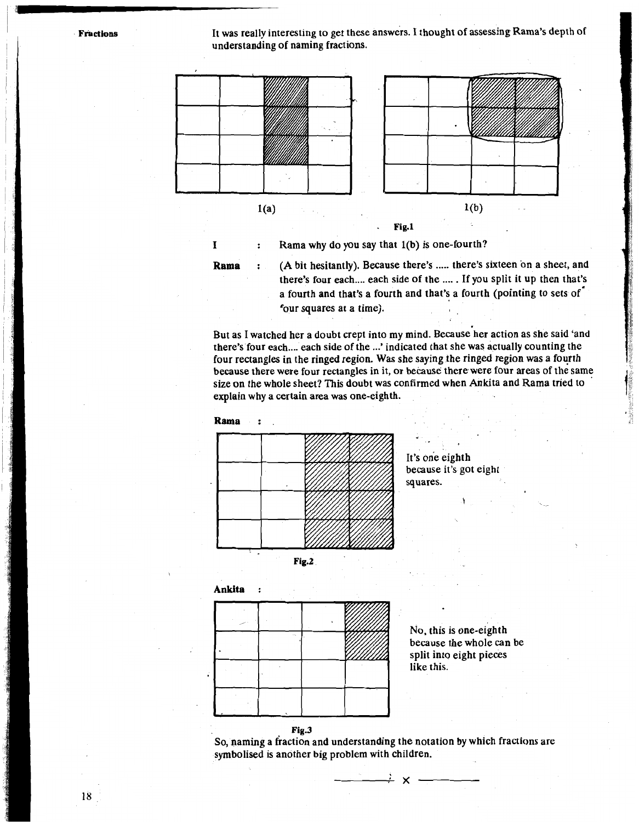It was really interesting to get these answers. I thought of assessing Rama's depth of understanding of naming fractions.



**<sup>I</sup>**: Rama why do you say that l(b) is one-fourth?

**Rama** : (A bit hesitantly). Because there's ..... there's sixteen on a sheet, and there's four each .... each side of the .... . If you split it up then that's a fourth and that's a fourth and that's a fourth (pointing to sets of' four squares at a time).

But as I watched her a doubt crept into my mind. Because her action as she said 'and there's four each .... each side of the ...' indicated that she was actually counting the four rectangles in the ringed region. Was she saying the ringed region was a fourth because there were four rectangles in it, or because therewere four areas of the same size on the whole sheet? This doubt was confirmed when Ankita and Rama tried to ' explain why a certain area was one-eighth.



It's one eighth because it's got eight squares.



No, this is one-eighth because the whole can be split into eight pieces like this.



So, naming a fiaction and understanding the notation by which fractions are symbolised is another big problem with children.

 $\rightarrow$  x  $-$ 

**Fractions**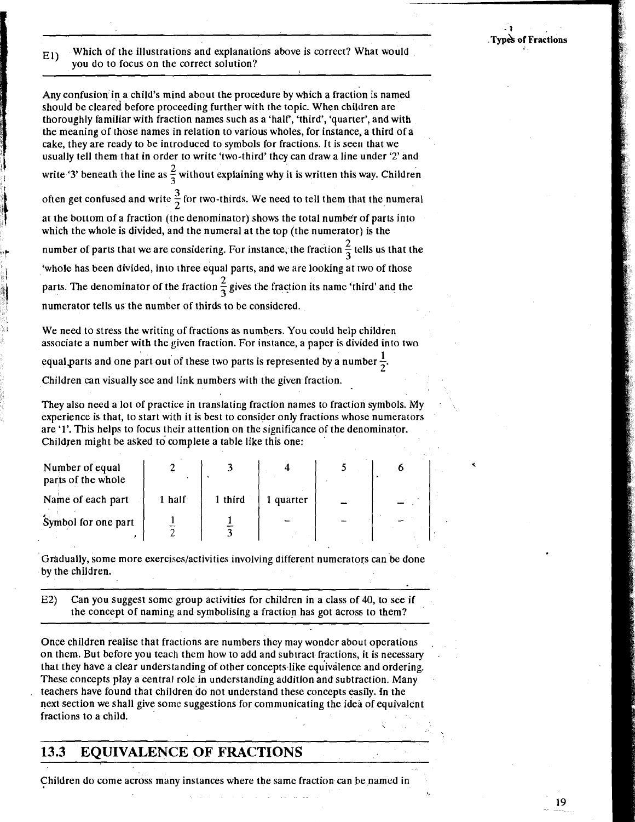- **1**  . **T~~& of Fractions** 

Which of the illustrations and explanations above is correct? What would  $E1$ you do to focus on the correct solution?

Any confusion in a child's mind about the procedure by which a fraction is named should be cleared before proceeding further with the topic. When children are thoroughly familiar with fraction names such as a 'half, 'third', 'quarter', and with the meaning of those names in relation to various wholes, for instance, a third of a cake, they are ready to be introduced to symbols for fractions. It is seen that we usually tell them that in order to write 'two-third' they can draw a line under '2' and write '3' beneath the line as  $\frac{2}{3}$  without explaining why it is written this way. Children often get confused and write  $\frac{3}{2}$  for two-thirds. We need to tell them that the numeral at the bottom of a fraction (the denominator) shows the total number of parts into which the whole is divided, and the numeral at the top (the numerator) is the number of parts that we are considering. For instance, the fraction  $\frac{2}{3}$  tells us that the 'wholc has been divided, into three equal parts, and we are looking at two of those parts. The denominator of the fraction  $\frac{2}{3}$  gives the fraction its name 'third' and the numerator tells us the number of thirds to be considered.

We need to stress the writing of fractions as numbers. You could help children associate a number with the given fraction. For instance, a paper is divided into two

equal parts and one part out of these two parts is represented by a number  $\frac{1}{6}$ .

Children can visually see and link numbers with the given fraction.

They also need a lot of practice in translating fraction names to fraction symbols. My , experience is that, to start with it is best to consider only fractions whose numerators are '1'. This helps to focus thcir attention on the significance of the denominator. Children might be asked to complete a table like this one:

| Number of equal<br>parts of the whole |        |         |           |  |  |
|---------------------------------------|--------|---------|-----------|--|--|
| Name of each part                     | 1 half | 1 third | l quarter |  |  |
| Symbol for one part                   |        |         |           |  |  |

Gradually, some more exerciscs/activities involving different numerators can be done by the children.

E2) Can you suggest some group activities for children in a class of 40, to see if the concept of naming and symbolising a fraction has got across to them?

Once children realise that fractions are numbers they may wonder about operations on them. But before you teach them how to add and subtract fractions, it is necessary . that they have a clear understanding of other concepts like equivalence and ordering. These concepts play a central role in understanding addition and subtraction. Many teachers have found that children do not understand these concepts easily. In the next section we shall give some suggestions for communicating the idei of equivalent fractions to a child.

## **13.3 EQUIVALENCE OF FRACTIONS**

Children do come across many instances where the same fraction can be named in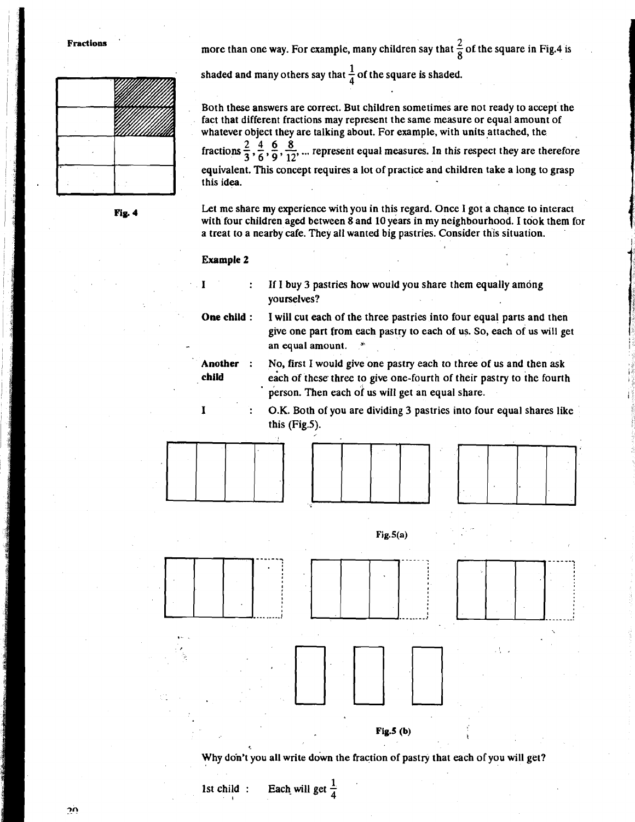more than one way. For example, many children say that  $\frac{2}{8}$  of the square in Fig.4 is

Both these answers are correct. But children sometimes are not ready to accept the fact that different fractions may represent the same measure or equal amount of

whatever object they are talking about. For example, with units attached, the fractions  $\frac{2}{3}, \frac{4}{6}, \frac{6}{9}, \frac{8}{12}$ , ... represent equal measures. In this respect they are therefore

equivalent. This concept requires a lot of practice and children take a long to grasp

shaded and many others say that  $\frac{1}{4}$  of the square is shaded.



Fig. 4

Let me share my experience with you in this regard. Once I got a chance to interact with four children aged between 8 and 10 years in my neighbourhood. I took them for

a treat to a nearby cafe. They all wanted big pastries. Consider this situation.

#### Example 2

this idea.

If I buy 3 pastries how would you share them equally among yourselves?

**One child** :

**child** 

- **Another** : give one part from each pastry to each of us. So, each of us will get an equal amount. No, first I would give one pastry each to three of us and then ask
	- each of these three to give one-fourth of their pastry to the fourth person. Then each of us will get an equal share.
- **<sup>I</sup>**: O.K. Both of you are dividing 3 pastries into four equal shares like this (Fig.5).

I will cut each of the three pastries into four equal parts and then







Why don't you all write down the fraction of pastry that each of you will get?

**Fig.5** (b)

1st child : Each will get  $\frac{1}{4}$ 

σņ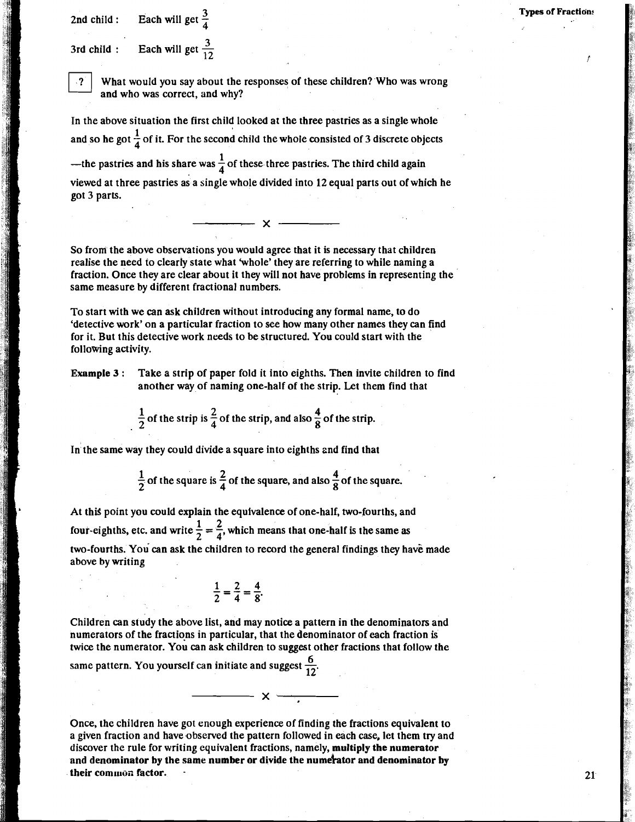2nd child : Each will get  $\frac{3}{4}$ 

3rd child : Each will get  $\frac{3}{12}$ 



What would you say about the responses of these children? Who was wrong and who was correct, and why?

In the above situation the first child looked at the three pastries as a single whole and so he got  $\frac{1}{4}$  of it. For the second child the whole consisted of 3 discrete objects

—the pastries and his share was  $\frac{1}{4}$  of these three pastries. The third child again

viewed at three pastries as a single whole divided into 12 equal parts out of which he got 3 parts.

 $\longrightarrow$   $\times$   $\longrightarrow$ 

So from the above observations you would agree that it is necessary that children realise the need to clearly state what 'whole' they are referring to while naming a fraction. Once they are clear about it they will not have problems in representing the same measure by different fractional numbers.

To start with we can ask children without introducing any formal name, to do 'detective work' on a particular fraction to see how many other names they can find for it. But this detective work needs to be structured. You could start with the following activity.

**Example 3** : Take a strip of paper fold it into eighths. Then invite children to find another way of naming one-half of the strip. Let them find that

 $\frac{1}{2}$  of the strip is  $\frac{2}{4}$  of the strip, and also  $\frac{4}{8}$  of the strip.

In the same way they could divide a square into eighths 2nd find that

 $\frac{1}{2}$  of the square is  $\frac{2}{4}$  of the square, and also  $\frac{4}{8}$  of the square.

At this point you could explain the equivalence of one-half, two-fourths, and four-eighths, etc. and write  $\frac{1}{2} = \frac{2}{4}$ , which means that one-half is the same as two-fourths. You can ask the children to record the general findings they have made above by writing

$$
\frac{1}{2} = \frac{2}{4} = \frac{4}{8}.
$$

Children can study the above list, and may notice a pattern in the denominators and numerators of the fractions in particular, that the denominator of each fraction is twice the numerator. You can ask children to suggest other fractions that follow the

same pattern. You yourself can initiate and suggest  $\frac{6}{12}$ .

Once, the children have got enough experience of finding the fractions equivalent to a given fraction and have observed the pattern followed in each case, let them try and discover the rule for writing equivalent fractions, namely, **multiply the numerator**  and denominator by the same number or divide the numerator and denominator by their common factor.

 $\overline{\phantom{a}}$  x  $\overline{\phantom{a}}$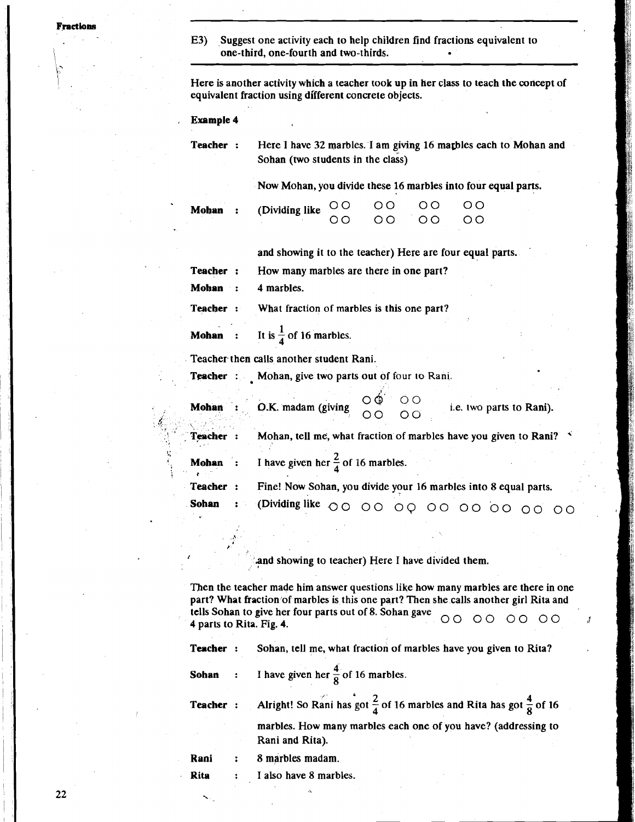Frections

E3) Suggest one activity each to help children find fractions equivalent to one-third, one-fourth and two-thirds.

Here is another activity which a teacher took up in Her class to teach the concept of equivalent fraction using different concrete objects.

, **Example 4** 

**Teacher :** Here I have 32 marbles. I am giving 16 marbles each to Mohan and Sohan (two students in the class)

Now Mohan, you divide these 16 marbles into four equal parts.

|  | Mohan : (Dividing like $000000000$ |                              |  |
|--|------------------------------------|------------------------------|--|
|  |                                    | $5^{\text{max}}$ 00 00 00 00 |  |

and showing it to the teacher) Here are four equal parts.

**Teacher** : How many marbles are there in one part?

**Mohan** : 4 marbles.

**Teacher** : What fraction of marbles is this one part?

**Mohan** : It is  $\frac{1}{4}$  of 16 marbles.

Teacher then calls another student Rani.

**Teacher** : Mohan, give two parts out of four to Rani.

| <b>Mohan</b>   | <b>O.K.</b> madam (giving $\begin{matrix}0&0\\0&0\end{matrix}$ 00          |  | i.e. two parts to Rani). |  |
|----------------|----------------------------------------------------------------------------|--|--------------------------|--|
| <b>Teacher</b> | Mohan, tell me, what fraction of marbles have you given to Rani? $\vec{v}$ |  |                          |  |
| Mohan :        | I have given her $\frac{2}{4}$ of 16 marbles.                              |  |                          |  |
| Teacher:       | Fine! Now Sohan, you divide your 16 marbles into 8 equal parts.            |  |                          |  |
| . Sohan        | : (Dividing like 00 00 00 00 00 00 00 00                                   |  |                          |  |

**<sup>I</sup>**'and showing to teacher) Here I have divided them.

Then the teacher made him answer questions like how many marbles are there in one part? What fraction of marbles is this one part? Then she calls another girl Rita and tells Sohan to give her four parts out of 8. Sohan gave  $\bigcirc$   $\bigcirc$   $\bigcirc$   $\bigcirc$   $\bigcirc$   $\bigcirc$   $\bigcirc$   $\bigcirc$   $\bigcirc$   $\bigcirc$ 

|  | Teacher : Sohan, tell me, what fraction of marbles have you given to Rita?                                 |
|--|------------------------------------------------------------------------------------------------------------|
|  | <b>Sohan</b> : I have given her $\frac{4}{8}$ of 16 marbles.                                               |
|  | <b>Teacher</b> : Alright! So Rani has got $\frac{2}{4}$ of 16 marbles and Rita has got $\frac{4}{8}$ of 16 |
|  | marbles. How many marbles each one of you have? (addressing to                                             |

Rani : 8 marbles madam.

Rita : I also have 8 marbles.

Rani and Rita).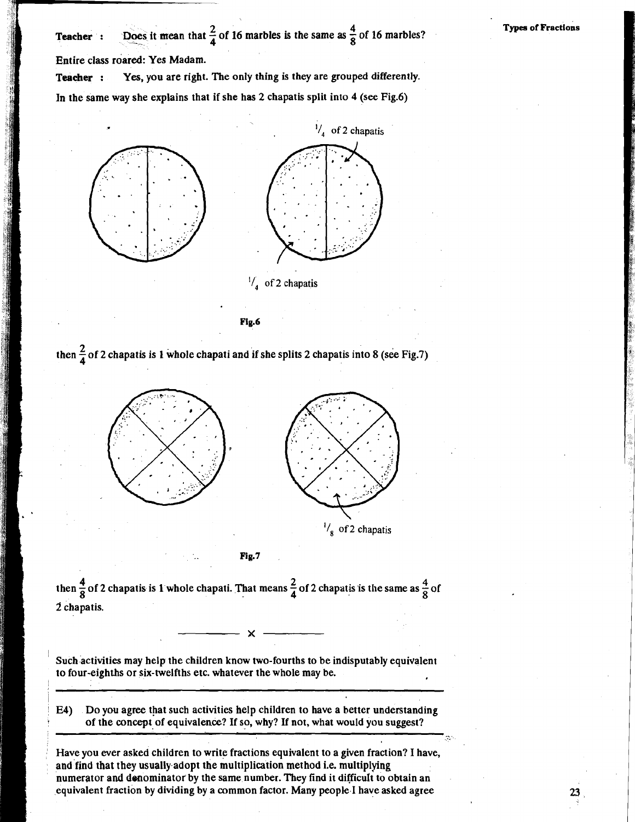**2** Teacher : Does it mean that  $\frac{2}{4}$  of 16 marbles is the same as  $\frac{4}{8}$  of 16 marbles? Entire class roared: Yes Madam.

**Teacher** : Yes, you are right. The only thing is they are grouped differently. In the same way she explains that if she has 2 chapatis split into 4 (see Fig.6)



Fig.6

then  $\frac{2}{4}$  of 2 chapatis is 1 whole chapati and if she splits 2 chapatis into 8 (see Fig.7)



Fig.7

**12 4 4 4 6 2** chapatis is 1 whole chapati. That means  $\frac{2}{4}$  of 2 chapatis is the same as  $\frac{4}{8}$  of **2** chapatis.

Such activities may help the children know two-fourths to be indisputably equivalent to four-eighths or six-twelfths etc. whatever the whole may be.

' **E4)** Do you agree that such activities help children to have a better understanding of the concept of equivalence? If so, why? If not, what would you suggest?

Have you ever asked children to write fractions equivalent to a given fraction? I have, and find that they usually adopt the multiplication method i.e. multiplying numerator and denominator by the same number. They find it difficult to obtain an equivalent fraction by dividing by a common factor. Many people I have asked agree

**Types of ~ractiohs**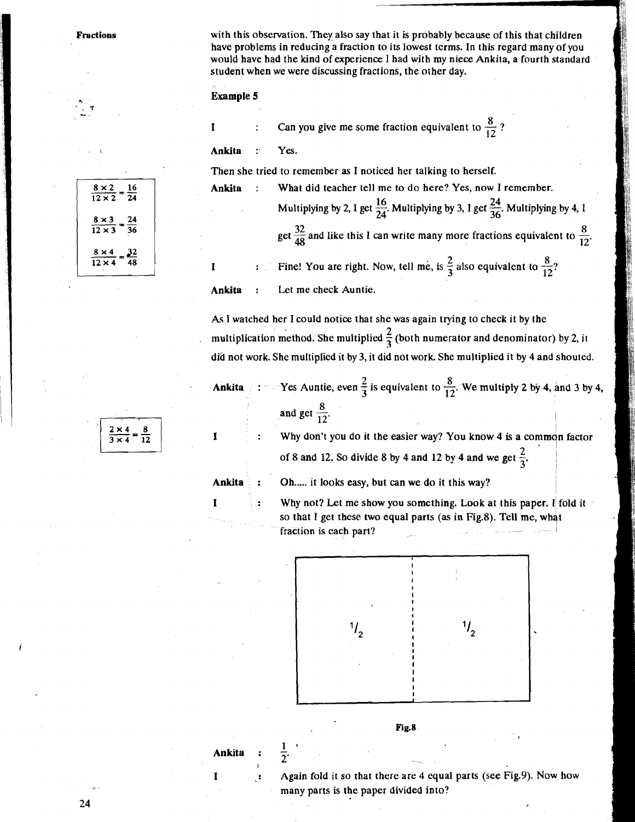**Fractions** with this observation. They also say that it is probably because of this that children have problems in reducing a fraction to its lowest terms. In this regard many of you would have had the kind of experience I had with my niece Ankita, a fourth standard student when we were discussing fractions, the other day.

#### **Example 5**

**Example 5**<br> **I** : Can you give me some fraction equivalent to  $\frac{8}{12}$ ? **Ankita** : **Yes.** 

Then she tried to remember as I noticed her talking to herself.

| Ankita               | $\mathbb{R}^2$ | What did teacher tell me to do here? Yes, now I remember.                                               |
|----------------------|----------------|---------------------------------------------------------------------------------------------------------|
| and the state of the |                | Multiplying by 2, 1 get $\frac{16}{24}$ . Multiplying by 3, I get $\frac{24}{36}$ . Multiplying by 4, 1 |
|                      |                | get $\frac{32}{48}$ and like this I can write many more fractions equivalent to $\frac{8}{12}$ .        |
| 1                    |                | <b>EXECUTE:</b> Fine! You are right. Now, tell me, is $\frac{2}{3}$ also equivalent to $\frac{8}{12}$ ? |

**Ankita** : Let me check Auntie.

As I watched her I could notice that she was again trying to check it by the multiplication method. She multiplied  $\frac{2}{3}$  (both numerator and denominator) by 2, it

|                          | did not work. She multiplied it by 3, it did not work. She multiplied it by 4 and shouted.                        |  |  |
|--------------------------|-------------------------------------------------------------------------------------------------------------------|--|--|
|                          | Ankita : $\cdot$ Yes Auntie, even $\frac{2}{3}$ is equivalent to $\frac{8}{12}$ . We multiply 2 by 4, and 3 by 4, |  |  |
| and get $\frac{8}{12}$ . |                                                                                                                   |  |  |

 $2 \times 4$ ÷  $\overline{3 \times 4}$  $\overline{12}$ 

- **I**: Why don't you do it the easier way? You know 4 is a common factor of 8 and 12. So divide 8 by 4 and 12 by 4 and we get  $\frac{2}{3}$ .
- 

Ankita : Oh..... it looks easy, but can we do it this way?

**I**: Why not? Let me show you something. Look at this paper. I fold it so that I get these two equal parts (as in Fig.8). Tell me, what fraction is each part?

I



**Fig.8** 

Ankita :  $\frac{1}{2}$ 

**<sup>I</sup>**: Again fold it so that there are 4 equal parts (see Fig.9). Now how many parts is the paper divided into?

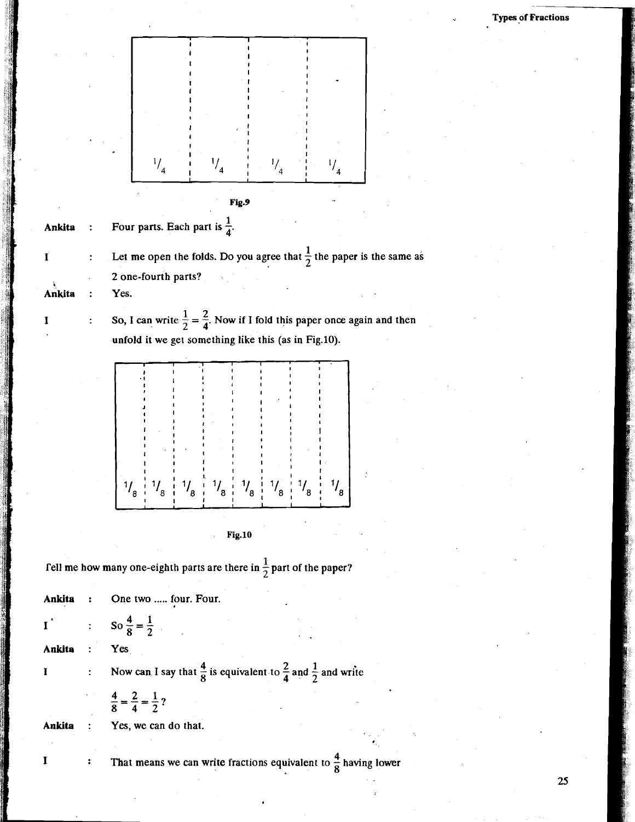



**1** Fell me how many one-eighth parts are there in  $\frac{1}{2}$  part of the paper?

**Ankita** : One two ..... four. Four. : So  $\frac{4}{8} = \frac{1}{2}$  $\mathbf{I}^{\mathcal{L}}$ **Ankita** : Yes **I b** 2. Now can, I say that  $\frac{4}{8}$  is equivalent to  $\frac{2}{4}$  and  $\frac{1}{2}$  and write  $\frac{4}{8} = \frac{2}{4} = \frac{1}{2}$ ?

**Ankita** : **Yes,** we can do that.

**I**  $\cdot$  **That means we can write fractions equivalent to**  $\frac{4}{8}$  **having lower**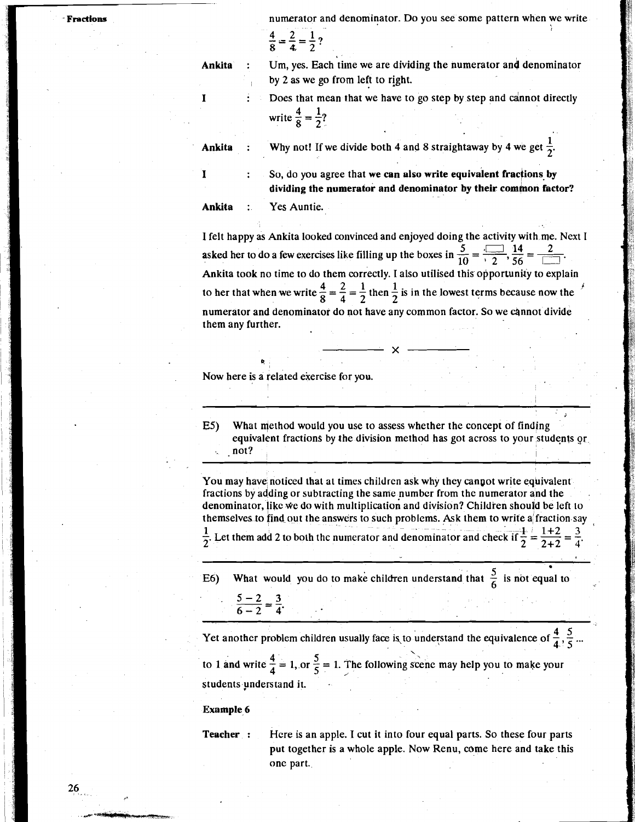numerator and denominator. Do you see some pattern when we write

$$
\frac{4}{8} = \frac{2}{4} = \frac{1}{2}?
$$

**Ankita** : Um, yes. Each time we are dividing the numerator and denominator by 2 as we go from left to right.

> Does that mean that we have to go step by step and cannot directly write  $\frac{4}{8} = \frac{1}{2}$ ?

**Ankita** : Why not! If we divide both 4 and 8 straightaway by 4 we get  $\frac{1}{2}$ .

**<sup>I</sup>**: So, do you agree that **we can also write equivalent fracjions by**  dividing the numerator and denominator by their common factor?

**Ankita** : Yes Auntie.

I felt happy as Ankita looked convinced and enjoyed doing the activity with me. Next I asked her to do a few exercises like filling up the boxes in  $\frac{5}{10} = \frac{10}{12}$ ,  $\frac{14}{56} = \frac{2}{12}$ . Ankita took no time to do them correctly. I also utilised this opportunity to explain to her that when we write  $\frac{4}{8} = \frac{2}{4} = \frac{1}{2}$  then  $\frac{1}{2}$  is in the lowest terms because now the numerator and denominator do not have any common factor. So we cannot divide them any further.

Now here is a related exercise for you.

**cr** 

E5) What method would you use to assess whether the concept of finding equivalent fractions by the division method has got across to your students gr . . not? , If  $\mathbf{I} = \mathbf{I} \mathbf{I}$  ,  $\mathbf{I} = \mathbf{I} \mathbf{I}$  ,  $\mathbf{I} = \mathbf{I} \mathbf{I}$  ,  $\mathbf{I} = \mathbf{I} \mathbf{I}$  ,  $\mathbf{I} = \mathbf{I} \mathbf{I}$  ,  $\mathbf{I} = \mathbf{I} \mathbf{I}$  ,  $\mathbf{I} = \mathbf{I} \mathbf{I}$  ,  $\mathbf{I} = \mathbf{I} \mathbf{I}$  ,  $\mathbf{I} = \mathbf{I} \$ 

**i** 

You may have noticed that at times children ask why they canpot write equivalent fractions by adding or subtracting the same numbcr from the numerator and the denominator, like we do with multiplication and division? Children should be left to themselves to find out the answers to such problems. Ask them to write a fraction say

Let them add 2 to both the numerator and denominator and check if  $\frac{1}{2} = \frac{1+2}{2+2}$ 

E6) What would you do to make children understand that  $\frac{5}{6}$  is not equal to  $\frac{5-2}{6-2} = \frac{3}{4}$ .

- -- - - - -- Yet another problem children usually face is to understand the equivalence of  $\frac{4}{4}$ ,  $\frac{5}{5}$  ... to 1 and write  $\frac{4}{4} = 1$ , or  $\frac{5}{5} = 1$ . The following scene may help you to make your students understand it.

**Example 6** 

**Teacher** : Hcre is an apple. I cut it into four equal parts. So these four parts put together is a whole apple. Now Renu, come here and take this one part.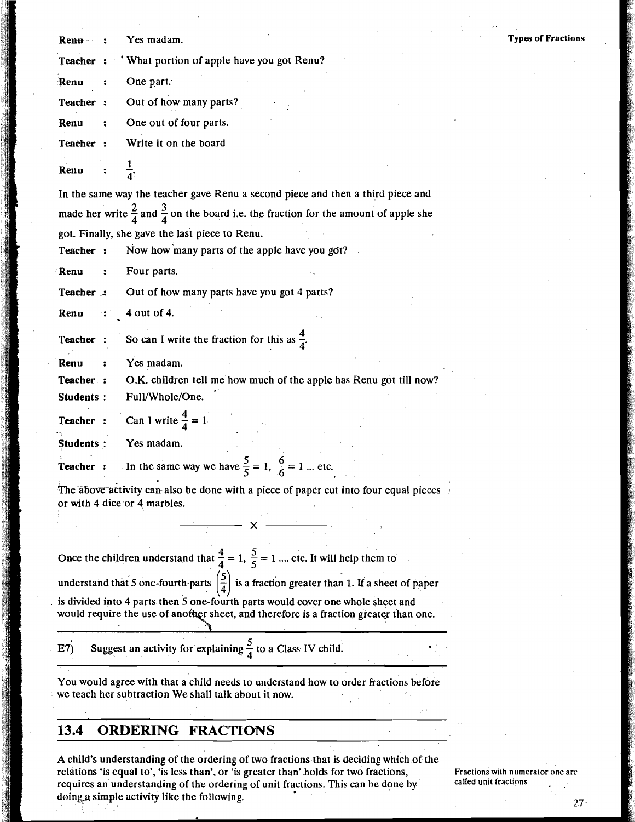**Types of Fractions**  Renu : Yes madam. **Teacher** : ' What portion of apple have you got Renu? **Renu** : Onepart. **Teacher** : Out of how many parts? **Renu** : One out of four parts. **Teacher** : Write it on the board Renu In the same way the teacher gave Renu a second piece and then a third piece and made her write  $\frac{2}{4}$  and  $\frac{3}{4}$  on the board i.e. the fraction for the amount of apple she got. Finally, she gave the last piece to Renu. **Teacher** : Now how'many parts of the apple have you got? **Renu** : Four parts. **Teacher .:** Out of how many parts have you got 4 parts? 4 out of 4. Renu **Teacher** : So can I write the fraction for this as  $\frac{4}{4}$ . **Renu** : Yes madam. **Teacher** : O.K. children tell me how much of the apple has Renu got till now? **Students** : Full/Whole/One. **Teacher :** Can I write  $\frac{4}{4} = 1$ **Students** : **Yes** madam. **Teacher** : In the same way we have  $\frac{5}{5} = 1$ ,  $\frac{6}{6} = 1$  ... etc. The above activity can also be done with a piece of paper cut into four equal pieces br with 4 dice or 4 marbles. Once the children understand that  $\frac{4}{4} = 1$ ,  $\frac{5}{5} = 1$  .... etc. It will help them to understand that 5 one-fourth parts  $\left(\frac{5}{4}\right)$  is a fraction greater than 1. If a sheet of paper is divided into 4 parts then *5* one-fourth parts would cover one whole sheet and would require the use of another sheet, and therefore is a fraction greater than one.  $\overline{17}$  Suggest an activity for explaining  $\frac{5}{4}$  to a Class IV child. You would agree with that a child needs to understand how to order fractions before we teach her subtraction We shall talk about it now.

## **13.4 ORDERING FRACTIONS**

A child's understanding of the ordering of two fractions that is deciding which of the relations 'is equal to', 'is less than', or 'is greater than' holds for two fractions, Fractions with numerator one are<br>requires an understanding of the ordering of unit fractions. This can be done by called unit fractions requires an understanding of the ordering of unit fractions. This can be done by doing a simple activity like the following. :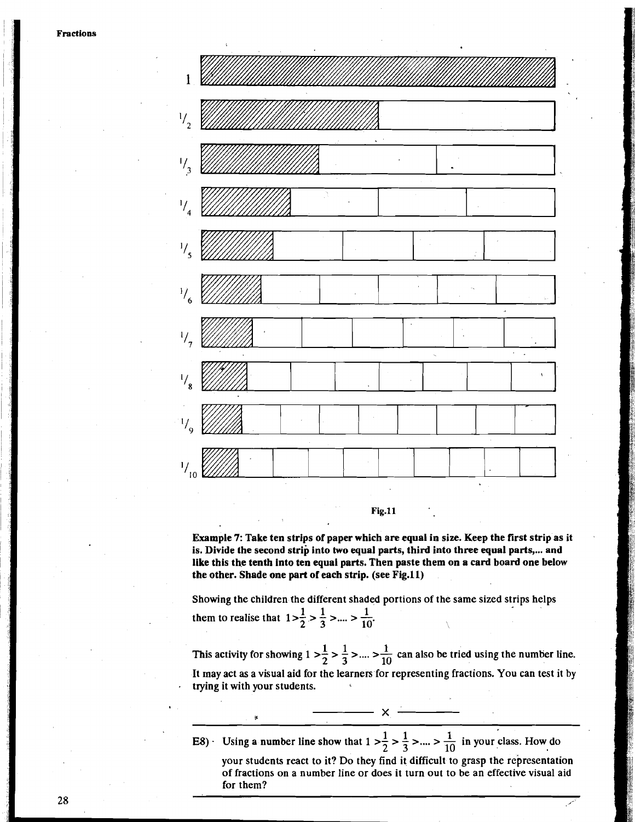

### **Fig.11**

Example 7: Take ten strips of paper which are equal in size. Keep the first strip as it is. Divide the second strip into two equal parts, third into three equal parts,... and like this the tenth into ten equal parts. Then paste them on a card board one below the other. Shade one part of each strip. (see Fig.11)

Showing the children the different shaded portions of the same sized strips helps them to realise that  $1 > \frac{1}{2} > \frac{1}{3} > ... > \frac{1}{10}$ 

This activity for showing  $1 > \frac{1}{2} > \frac{1}{3} > ... > \frac{1}{10}$  can also be tried using the number line. It may act as a visual aid for the learners for representing fractions. You can test it by trying it with your students.

11 I E8) - Using a number line show that 1 >- > - >.... > - in your class. How do 2 3 10 your students react to it? Do they find it difficult to grasp the representation of fractions on a number line or does it turn out to be an effective visual aid for them?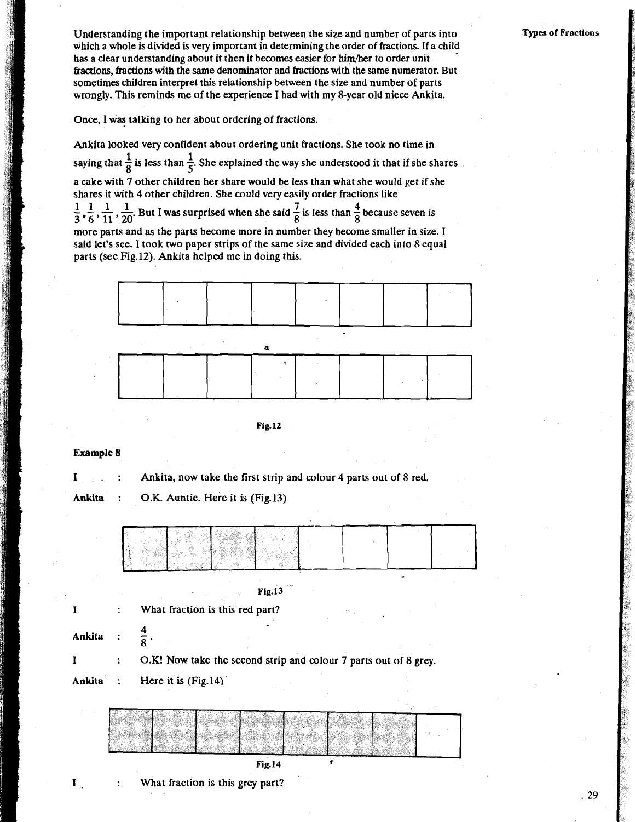Understanding the important relationship between the size and number of parts into which a whole is divided is very important in determining the order of fractions. If a child has a clear understanding about it then it becomes easier for him/her to order unit fractions, fractions **with** the same denominator and fractions with the same numerator. But sometimes children interpret this relationship between the size and number of parts wrongly. This reminds me of the experience I had with my 8-year old niece Ankita.

Once, I was talking to her about ordering of fractions.

Ankita looked very confident about ordering unit fractions. She took no time in saying that  $\frac{1}{8}$  is less than  $\frac{1}{5}$ . She explained the way she understood it that if she shares a cake with 7 other children her share would be less than what she would get if she shares it with 4 other children. She could very easily order fractions like  $\frac{1}{3}$ ,  $\frac{1}{6}$ ,  $\frac{1}{11}$ ,  $\frac{1}{20}$ . But I was surprised when she said  $\frac{7}{8}$  is less than  $\frac{4}{8}$  because seven is

more parts and as the parts become more in number they become smaller in size. I said let's see. I took two paper strips of the same size and divided each into 8 equal parts (see Fig.12). Ankita helped me in doing this.



**Fig.12** 

**Example** *8* 

**I**: **Ankita, now take the first strip and colour 4 parts out of 8 red.** 

Ankita : O.K. Auntie. Here it is (Fig.13)

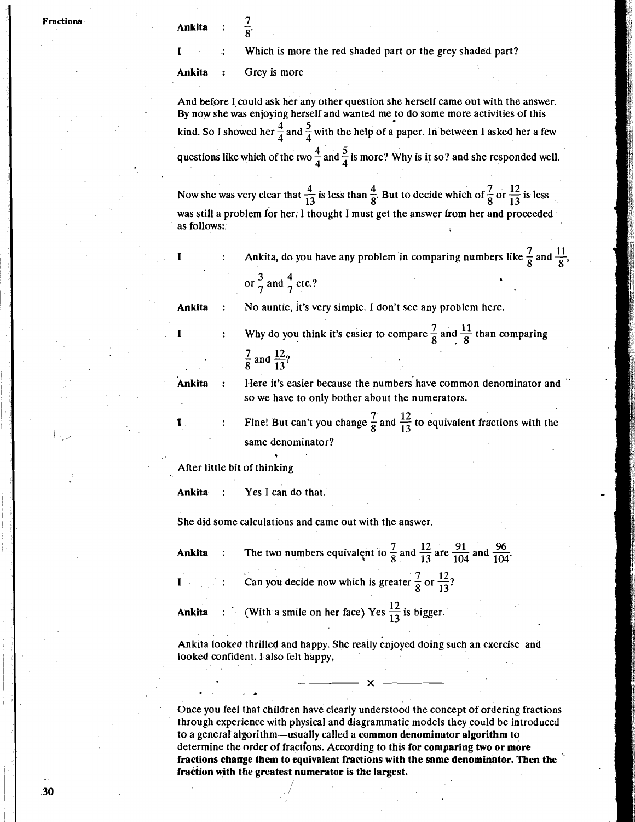Which is more the red shaded part or the grey shaded part?

**Ankita** : Grey is more

And before I could ask her any other question she herself came out with the answer. By now she was enjoying herself and wanted me to do some more activities of this **kind.** So I showed her  $\frac{4}{4}$  and  $\frac{5}{4}$  with the help of a paper. In between I asked her a few questions like which of the two  $\frac{4}{4}$  and  $\frac{5}{4}$  is more? Why is it so? and she responded well.

Now she was very clear that  $\frac{4}{13}$  is less than  $\frac{4}{8}$ . But to decide which of  $\frac{7}{8}$  or  $\frac{12}{13}$  is less was still a problem for her. I thought I must get the answer from her and proceeded as follows:.

**I** : Ankita, do you have any problem in comparing numbers like  $\frac{7}{8}$  and  $\frac{11}{8}$ ,

or  $\frac{3}{7}$  and  $\frac{4}{7}$  etc.?

**Ankita** : No auntie, it's very simple. I don't see any problem here.

**I***X* **IEXECUTE: IEXECUTE:** Why do you think it's easier to compare  $\frac{7}{8}$  and  $\frac{11}{8}$  than comparing **8**  $\frac{7}{8}$  and  $\frac{12}{13}$ ?

ī

**'Ankita** : Here it's easier because the numbers'have common denominator and " so we have to only bother about the numerators.

Fine! But can't you change  $\frac{7}{8}$  and  $\frac{12}{13}$  to equivalent fractions with the same denominator?

After little bit of thinking

**Ankita** : Yes **I** can do that.

?

She did some calculations and came out with the answer.

I

**Ankita** : The two numbers equivalent to  $\frac{7}{8}$  and  $\frac{12}{13}$  are  $\frac{91}{104}$  and  $\frac{96}{104}$ . **I 2 2 2 Can you decide now which is greater**  $\frac{7}{8}$  **or**  $\frac{12}{13}$ 

**Ankita** : (With a smile on her face) Yes  $\frac{12}{13}$  is bigger.

Ankita looked thrilled and happy. She really enjoyed doing such an exercise and looked confident. I also felt happy,

Once you feel that children have clearly understood the concept of ordering fractions through experience with physical and diagrammatic models they could be introduced to a general algorithm-usually called a **common denominator algorithm** to determine the order of fractions. According to this **for comparing two or more fractions change them to equivalent fractions with the same denominator. Then the** ' **fraction with the greatest numerator is the largest.**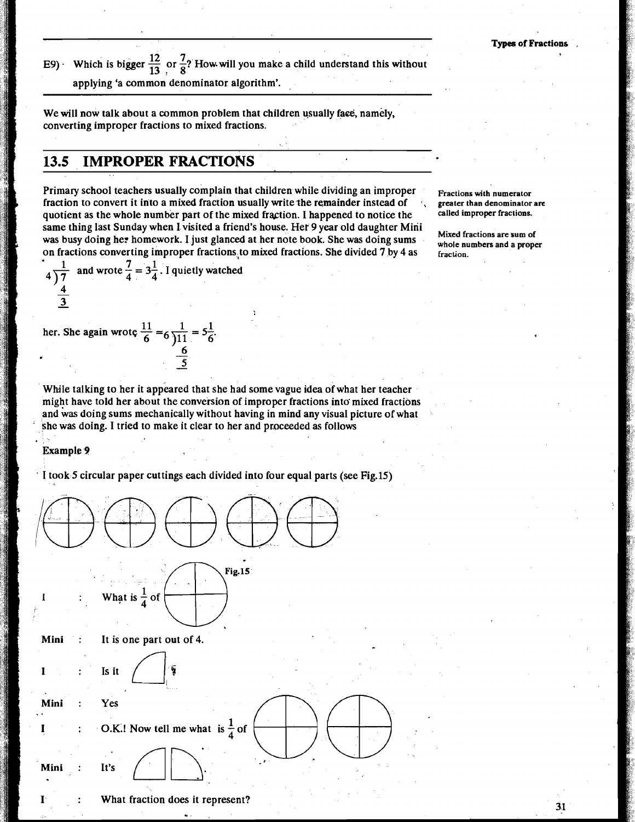31

**12** E9) Which is bigger  $\frac{12}{13}$  or  $\frac{7}{8}$ ? How will you make a child understand this without

applying 'a common denominator algorithm'.

We will now talk about a common problem that children usually face, namely, converting improper fractions to mixed fractions.

## **13.5 IMPROPER FRACTIONS**

Primary school teachers usually complain that children while dividing an improper Fractions with numerator **Fraction** to convert it into a mixed fraction usually write the remainder instead of **Faction** denominator are fraction to convert it into a mixed fraction usually write the remainder instead of  $\cdot$ , greater than denominator quotient as the whole number part of the mixed fraction. I hannened to notice the **called improper fraction** quotient as the whole number part of the mixed fraction. I happened to notice the same thing last Sunday when I visited a friend's house. Her 9 year old daughter Mini was busy doing he: homework. I just glanced at her note book. She was doing sums on fractions converting improper fractions to mixed fractions. She divided 7 by 4 as **fraction**.

**Mixed fractions are sum of** 

 $4\frac{1}{\frac{4}{3}}$  and wrote  $\frac{7}{4} = 3\frac{1}{4}$ . I quietly watched  $\frac{4}{3}$ 1.1 her. She again wrote  $\frac{11}{6} = 6 \frac{1}{11} = 5\frac{1}{6}$ .

While talking to her it appeared that she had some vague idea of what her teacher might have told her about the conversion of improper fractions into mixed fractions and was doing sums mechanically without having in mind any visual picture of what she was doing. I tried to make it clear to her and proceeded as follows

Example **P** 

' I took 5 circular paper cuttings each divided into four equal parts (see Fig.15)

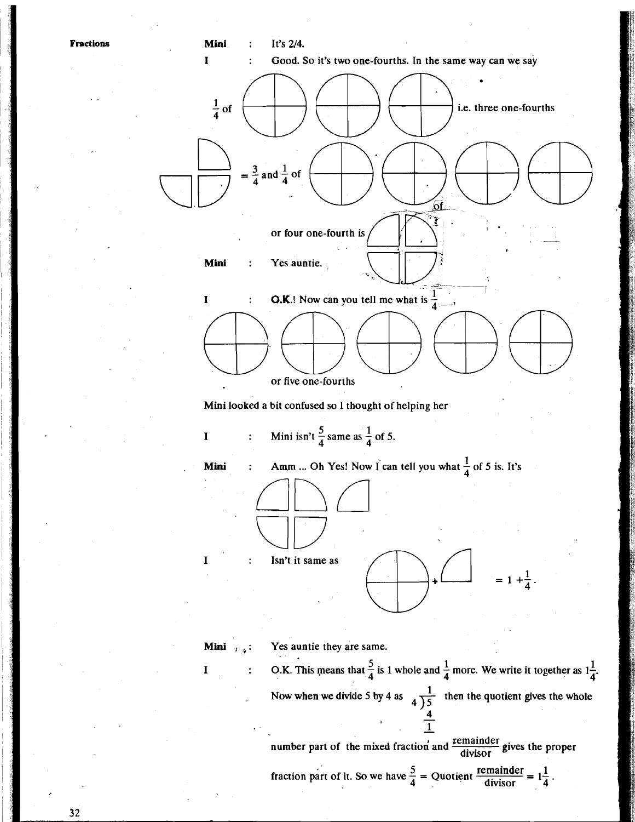

**<sup>I</sup>5 1 1**  : O.K. This means that - is 1 whole and - more. We write it together as **1-** 4 4 **4'**  Now when we divide 5 by 4 as  $\frac{1}{\sqrt{5}}$  then the quotient gives the whole **4)5** 

number part of the mixed fraction and  $\frac{\text{remainder}}{\text{divisor}}$  gives the proper

fraction part of it. So we have 
$$
\frac{5}{4}
$$
 = Quotient  $\frac{\text{remainder}}{\text{divisor}} = 1\frac{1}{4}$ .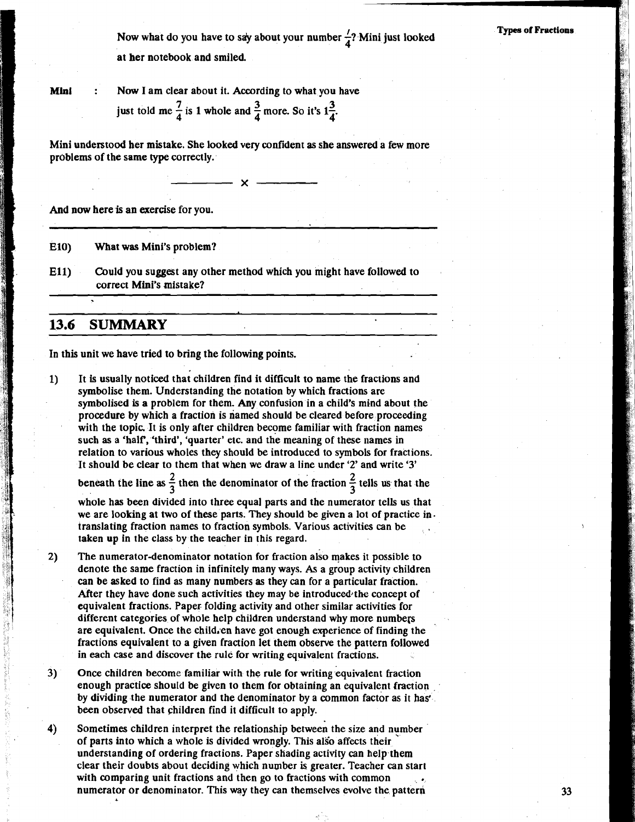Now what do you have to say about your number  $\frac{7}{4}$ ? Mini just looked at her notebook and smiled.

## **Types of Fractions**

**Mini** : Now I am clear about it. According to what you have just told me  $\frac{7}{4}$  is 1 whole and  $\frac{3}{4}$  more. So it's  $1\frac{3}{4}$ .

Mini understood her mistake. She looked very confident as she answered a few more problems of the same **type** correctly.

 $\mathbf{x}$ 

And now here is an exercise for you.

**E10)** What was Mini's problem?

**Ell)** Could you suggest any other method which you might have followed to correct Mini's mistake?

## **13.6 SUMMARY**

In this unit we have tried to bring the following points.

1) It is usually noticed that children find it difficult to name the fractions and symbolise them. Understanding the notation by which fractions are symbolised is a problem for them. Any confusion in a child's mind about the procedure by which a fraction is riamed should be cleared before proceeding with the topic. It is only after children become familiar with fraction names such as a 'half, 'third', 'quarter' etc. and the meaning of these names in relation to various wholes they should be introduced to symbols for fractions. It should be clear to them that when we draw a line under **'2'** and write **'3'** 

**2** beneath the line as  $\frac{2}{3}$  then the denominator of the fraction  $\frac{2}{3}$  tells us that the

whole has been divided into three equal parts and the numerator tells us that we are looking at two of these parts. They should be given a lot of practice in. translating fraction names to fraction symbols. Various activities can be , taken up in the class by the teacher in this regard.

- $2)$ The numerator-denominator notation for fraction also makes it possible to denote the same fraction in infinitely many ways. **As** a group activity children can be asked to find as many numbers as they can for a particular fraction. After they have done such activities they may be introduced $\cdot$ the concept of equivalent fractions. Paper folding activity and other similar activities for different categories of whole help children understand why more numbers are equivalent. Once the child,en have got enough experience of finding the fractions equivalent to a given fraction let them observe the pattern followed in each case and discover the rule for writing equivalent fractions.
- **3)** Once children become familiar with the rule for writing equivalent fraction enough practice should be given to them for obtaining an equivalent fraction by dividing the numerator and the denominator by a common factor as it has' been observed that children find it difficult to apply.

**4)** Sometimes children interpret the relationship between the size and nymber of parts into which a whole is divided wrongly. This also affects their understanding of ordering fractions. Paper shading activity can help them clear their doubts about deciding which number is greater. Teacher can start with comparing unit fractions and then go to fractions with common numerator or denominator. This way they can themselves evolve the pattern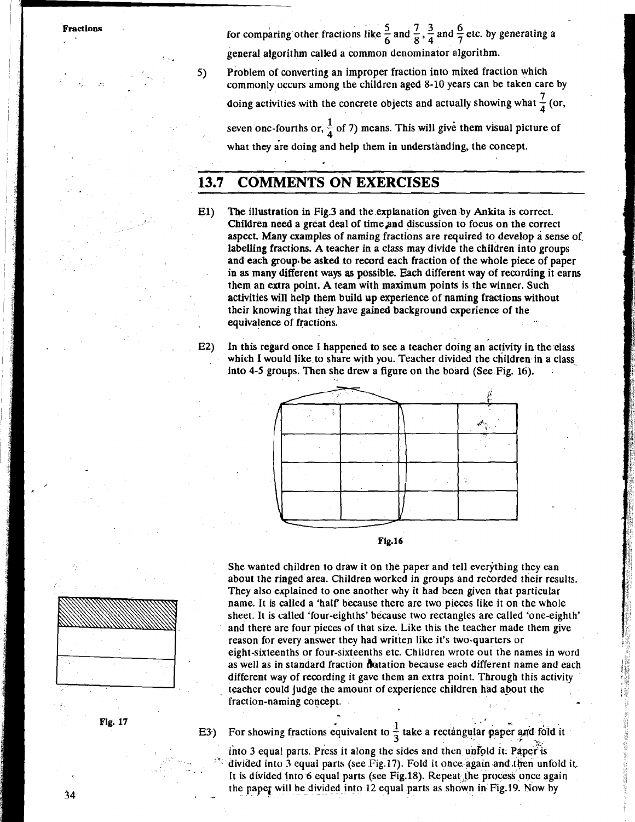**Fractions for comparing other fractions like**  $\frac{5}{6}$  **and**  $\frac{7}{8}$ **,**  $\frac{3}{4}$  **and**  $\frac{6}{7}$  **etc. by generating a** general algorithm called a common denominator algorithm.

> 5) Problem of converting an improper fraction into mixed fraction which commonly occurs among the children aged 8-10 years can be taken care by doing activities with the concrete objects and actually showing what  $\frac{7}{4}$  (or, seven one-fourths or,  $\frac{1}{4}$  of 7) means. This will give them visual picture of what they are doing and help them in understanding, the concept.

## **13.7 COMMENTS ON EXERCISES**

- **El)** The illustration in Fig3 and the explanation given by Ankita is correct. Children need a great deal of timeand discussion to focus on the correct aspect. Many examples of naming fractions are required to develop a sense of, labelling fractions. A teacher in a class may divide the children into groups and each group.be asked to record each fraction of the whole piece of paper in as many different ways as possible. Each different way of recording it earns them an extra point. A team with maximum points is the winner. Such activities will help them build up experience of naming fractions without their knowing that they have gained background experience of the . equivalence of fractions.
- E2) In this regard once I happened to see a teacher doing an activity in the elass which I would like to share with you. Teacher divided the children in a class into **4-5** groups. Then she drew a figure on the board (See Fig. 16). .





She wanted children to draw it on the paper and tell everything they can about the ringed area. Children worked in groups and recorded their results. They also explained to one another why it had been given that particular name. It is called a 'half because there are two pieces like it on the whole sheet. It is called 'four-eighths' because two rectangles are called 'one-eighth' and there are four pieces of that size. Like this the teacher made them give reason for every answer they had written like it's two-quarters or eight-sixteenths or four-sixteenths etc. Children wrote out the names in word as well as in standard fraction flotation because each different name and each different way of recording it gave them an extra point. Through this activity teacher could judge the amount of experience children had about the fraction-naming concept.



into 3 equal parts. Press it along the sides and then unfold it. Paper is divided into 3 equal parts (see Fig.17). Fold it once again and then unfold it. It is divided into 6 equal parts (see Fig.18). Repeat the process once again the paper will be divided into 12 equal parts as shown in Fig.19. Now by



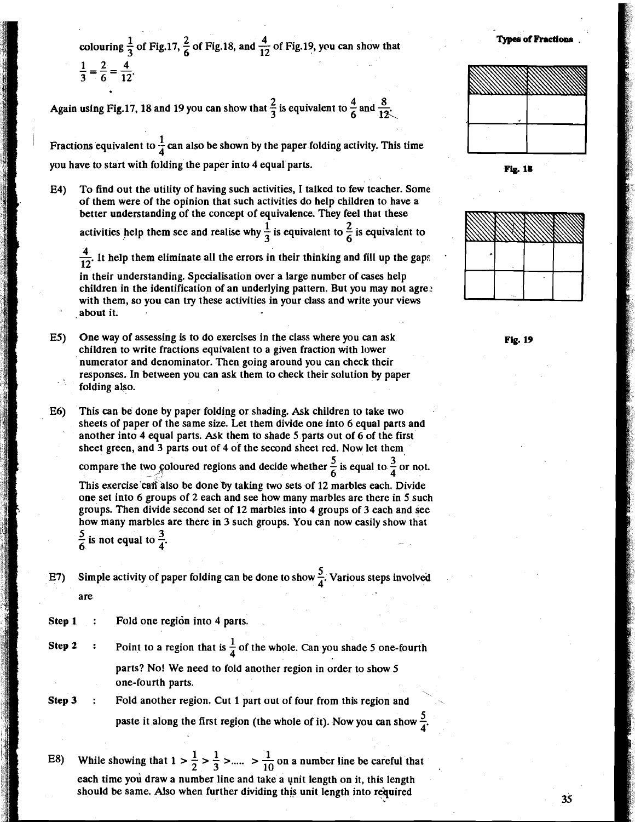colouring  $\frac{1}{3}$  of Fig.17,  $\frac{2}{6}$  of Fig.18, and  $\frac{4}{12}$  of Fig.19, you can show that  $\frac{1}{3} = \frac{2}{6} = \frac{4}{12}$ .

Again using Fig.17, 18 and 19 you can show that  $\frac{2}{3}$  is equivalent to  $\frac{4}{5}$  and  $\frac{8}{13}$ .

Fractions equivalent to  $\frac{1}{4}$  can also be shown by the paper folding activity. This time you have to start with folding the paper into 4 equal parts. **Physical parts. Pig. 18** 

E4) To find out the utility of having such activities, I talked to few teacher. Some of them were of the opinion that such activities do help children to have a better understanding of the concept of equivalence. They feel that these

activities help them see and realise why  $\frac{1}{2}$  is equivalent to  $\frac{2}{5}$  is equivalent to activities help them see and realise why  $\frac{1}{3}$  is equivalent to  $\frac{2}{6}$  is equivalent to  $\frac{4}{12}$ . It help them eliminate all the errors in their thinking and fill up the gaps

4

in their understanding. Specialisation over a large number of cases help children in the identification of an underlying pattern. But you may not agree with them, so you can try these activities in your class and write your views .about it.

E5) One way of assessing is to do exercises in the class where you can ask children to write fractions equivalent to a given fraction with lower numerator and denominator. Then going around you can check their responses. In between you can ask them to check their solution by paper folding also.

E6) This can be done by paper folding or shading. Ask children to take two sheets of paper of the same size. Let them divide one into 6 equal parts and another into 4 equal parts. Ask them to shade 5 parts out of 6 of the first sheet green, and 3 parts out of 4 of the second sheet red, Now let them

compare the two coloured regions and decide whether  $\frac{5}{6}$  is equal to  $\frac{3}{4}$  or not.

This exercise can also be done by taking two sets of 12 marbles each. Divide one set into 6 groups of 2 each and see how many marbles are there in 5 such groups. Then divide second set of 12 marbles into 4 groups of 3 each and see how many marbles are there in 3 such groups. You can now easily show that  $\frac{5}{6}$  is not equal to  $\frac{3}{4}$ .

E7) Simple activity of paper folding can be done to show  $\frac{5}{4}$ . Various steps involved are

**Step 1** : Fold one region into 4 parts.

**<sup>1</sup>Step 2** : Point to a region that is -of the whole. Can you shade **5** one-fourth 4 parts? No! We need to fold another region in order to show 5 one-fourth parts.<br> $\Box$ 

**Step 3** : Fold another region. Cut **1** part out of four from this region and

paste it along the first region (the whole of it). Now you can show  $\frac{5}{4}$ .

E8) While showing that  $1 > \frac{1}{2} > \frac{1}{3} > ...$   $> \frac{1}{10}$  on a number line be careful that each time you draw a number line and take a unit length on it, this length should be same. Also when further dividing this unit length into required



**Types of Fractions** 



**Fig. 19**